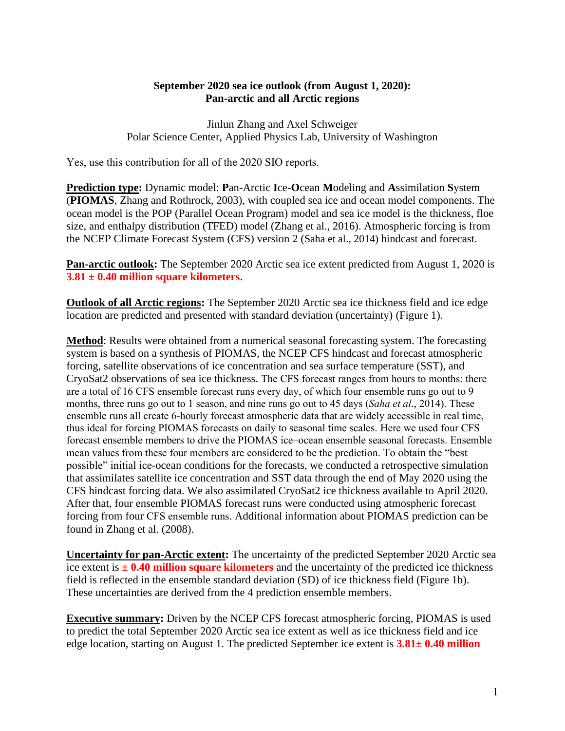## **September 2020 sea ice outlook (from August 1, 2020): Pan-arctic and all Arctic regions**

Jinlun Zhang and Axel Schweiger Polar Science Center, Applied Physics Lab, University of Washington

Yes, use this contribution for all of the 2020 SIO reports.

**Prediction type:** Dynamic model: **P**an-Arctic **I**ce-**O**cean **M**odeling and **A**ssimilation **S**ystem (**PIOMAS**, Zhang and Rothrock, 2003), with coupled sea ice and ocean model components. The ocean model is the POP (Parallel Ocean Program) model and sea ice model is the thickness, floe size, and enthalpy distribution (TFED) model (Zhang et al., 2016). Atmospheric forcing is from the NCEP Climate Forecast System (CFS) version 2 (Saha et al., 2014) hindcast and forecast.

**Pan-arctic outlook:** The September 2020 Arctic sea ice extent predicted from August 1, 2020 is **3.81 ± 0.40 million square kilometers**.

**Outlook of all Arctic regions:** The September 2020 Arctic sea ice thickness field and ice edge location are predicted and presented with standard deviation (uncertainty) (Figure 1).

**Method**: Results were obtained from a numerical seasonal forecasting system. The forecasting system is based on a synthesis of PIOMAS, the NCEP CFS hindcast and forecast atmospheric forcing, satellite observations of ice concentration and sea surface temperature (SST), and CryoSat2 observations of sea ice thickness. The CFS forecast ranges from hours to months: there are a total of 16 CFS ensemble forecast runs every day, of which four ensemble runs go out to 9 months, three runs go out to 1 season, and nine runs go out to 45 days (*Saha et al*., 2014). These ensemble runs all create 6-hourly forecast atmospheric data that are widely accessible in real time, thus ideal for forcing PIOMAS forecasts on daily to seasonal time scales. Here we used four CFS forecast ensemble members to drive the PIOMAS ice–ocean ensemble seasonal forecasts. Ensemble mean values from these four members are considered to be the prediction. To obtain the "best possible" initial ice-ocean conditions for the forecasts, we conducted a retrospective simulation that assimilates satellite ice concentration and SST data through the end of May 2020 using the CFS hindcast forcing data. We also assimilated CryoSat2 ice thickness available to April 2020. After that, four ensemble PIOMAS forecast runs were conducted using atmospheric forecast forcing from four CFS ensemble runs. Additional information about PIOMAS prediction can be found in Zhang et al. (2008).

**Uncertainty for pan-Arctic extent:** The uncertainty of the predicted September 2020 Arctic sea ice extent is  $\pm$  **0.40 million square kilometers** and the uncertainty of the predicted ice thickness field is reflected in the ensemble standard deviation (SD) of ice thickness field (Figure 1b). These uncertainties are derived from the 4 prediction ensemble members.

**Executive summary:** Driven by the NCEP CFS forecast atmospheric forcing, PIOMAS is used to predict the total September 2020 Arctic sea ice extent as well as ice thickness field and ice edge location, starting on August 1. The predicted September ice extent is **3.81± 0.40 million**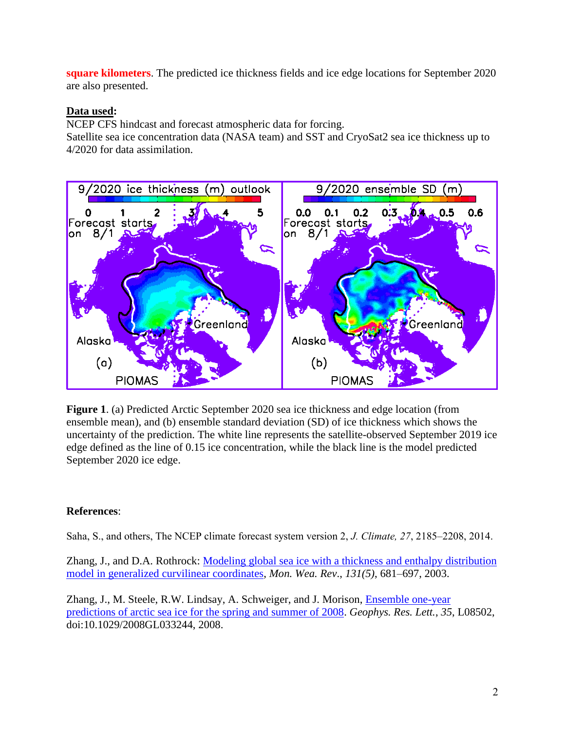**square kilometers**. The predicted ice thickness fields and ice edge locations for September 2020 are also presented.

## **Data used:**

NCEP CFS hindcast and forecast atmospheric data for forcing.

Satellite sea ice concentration data (NASA team) and SST and CryoSat2 sea ice thickness up to 4/2020 for data assimilation.



**Figure 1**. (a) Predicted Arctic September 2020 sea ice thickness and edge location (from ensemble mean), and (b) ensemble standard deviation (SD) of ice thickness which shows the uncertainty of the prediction. The white line represents the satellite-observed September 2019 ice edge defined as the line of 0.15 ice concentration, while the black line is the model predicted September 2020 ice edge.

## **References**:

Saha, S., and others, The NCEP climate forecast system version 2, *J. Climate, 27*, 2185–2208, 2014.

Zhang, J., and D.A. Rothrock: Modeling global sea ice with a thickness and enthalpy distribution [model in generalized curvilinear coordinates,](http://psc.apl.washington.edu/zhang/Pubs/POIM.pdf) *Mon. Wea. Rev*., *131(5)*, 681–697, 2003.

Zhang, J., M. Steele, R.W. Lindsay, A. Schweiger, and J. Morison, [Ensemble one-year](http://psc.apl.washington.edu/zhang/Pubs/Zhang_etal2008GL033244.pdf)  [predictions of arctic sea ice for the spring and summer of 2008.](http://psc.apl.washington.edu/zhang/Pubs/Zhang_etal2008GL033244.pdf) *Geophys. Res. Lett.*, *35*, L08502, doi:10.1029/2008GL033244, 2008.